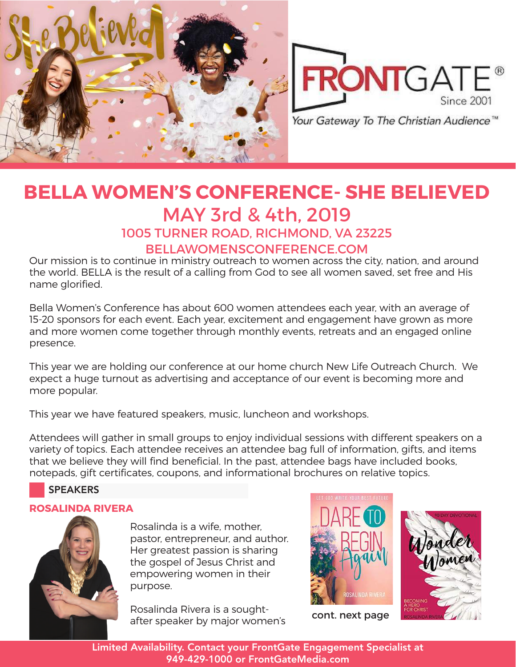



## **BELLA WOMEN'S CONFERENCE- SHE BELIEVED** MAY 3rd & 4th, 2019 1005 TURNER ROAD, RICHMOND, VA 23225 BELLAWOMENSCONFERENCE.COM

Our mission is to continue in ministry outreach to women across the city, nation, and around the world. BELLA is the result of a calling from God to see all women saved, set free and His name glorified.

Bella Women's Conference has about 600 women attendees each year, with an average of 15-20 sponsors for each event. Each year, excitement and engagement have grown as more and more women come together through monthly events, retreats and an engaged online presence.

This year we are holding our conference at our home church New Life Outreach Church. We expect a huge turnout as advertising and acceptance of our event is becoming more and more popular.

This year we have featured speakers, music, luncheon and workshops.

Attendees will gather in small groups to enjoy individual sessions with different speakers on a variety of topics. Each attendee receives an attendee bag full of information, gifts, and items that we believe they will find beneficial. In the past, attendee bags have included books, notepads, gift certificates, coupons, and informational brochures on relative topics.

## SPEAKERS

#### **ROSALINDA RIVERA**



Rosalinda is a wife, mother, pastor, entrepreneur, and author. Her greatest passion is sharing the gospel of Jesus Christ and empowering women in their purpose.

Rosalinda Rivera is a soughtafter speaker by major women's



cont. next page



Limited Availability. Contact your FrontGate Engagement Specialist at 949-429-1000 or FrontGateMedia.com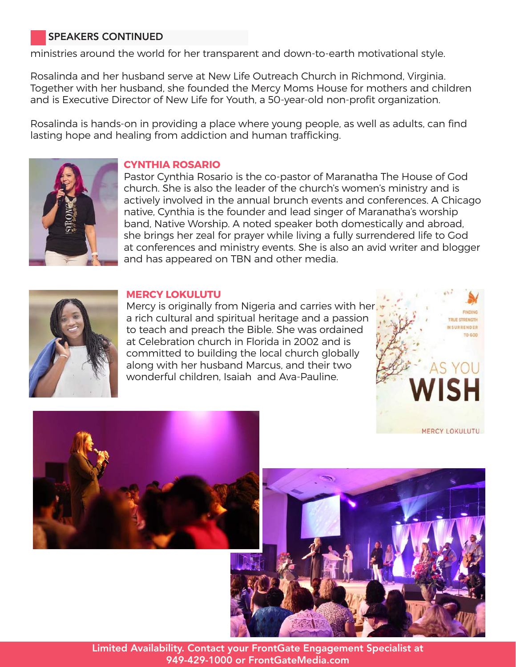## SPEAKERS CONTINUED

ministries around the world for her transparent and down-to-earth motivational style.

Rosalinda and her husband serve at New Life Outreach Church in Richmond, Virginia. Together with her husband, she founded the Mercy Moms House for mothers and children and is Executive Director of New Life for Youth, a 50-year-old non-profit organization.

Rosalinda is hands-on in providing a place where young people, as well as adults, can find lasting hope and healing from addiction and human trafficking.



#### **CYNTHIA ROSARIO**

Pastor Cynthia Rosario is the co-pastor of Maranatha The House of God church. She is also the leader of the church's women's ministry and is actively involved in the annual brunch events and conferences. A Chicago native, Cynthia is the founder and lead singer of Maranatha's worship band, Native Worship. A noted speaker both domestically and abroad, she brings her zeal for prayer while living a fully surrendered life to God at conferences and ministry events. She is also an avid writer and blogger and has appeared on TBN and other media.



#### **MERCY LOKULUTU**

Mercy is originally from Nigeria and carries with her a rich cultural and spiritual heritage and a passion to teach and preach the Bible. She was ordained at Celebration church in Florida in 2002 and is committed to building the local church globally along with her husband Marcus, and their two wonderful children, Isaiah and Ava-Pauline.







Limited Availability. Contact your FrontGate Engagement Specialist at 949-429-1000 or FrontGateMedia.com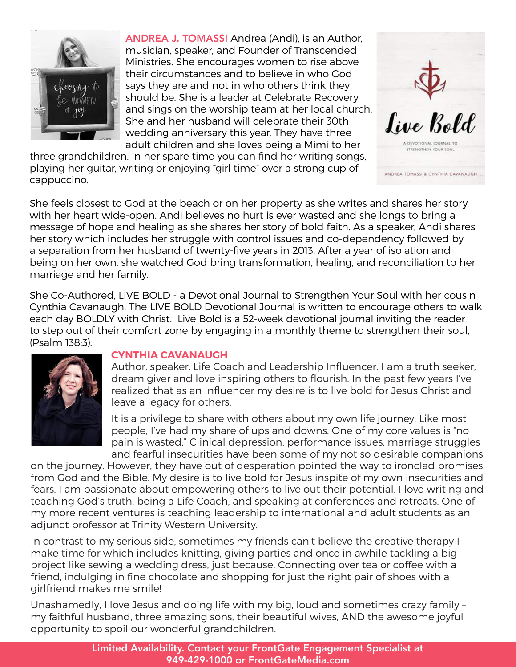

ANDREA J. TOMASSI Andrea (Andi), is an Author, musician, speaker, and Founder of Transcended Ministries. She encourages women to rise above their circumstances and to believe in who God says they are and not in who others think they should be. She is a leader at Celebrate Recovery and sings on the worship team at her local church. She and her husband will celebrate their 30th wedding anniversary this year. They have three adult children and she loves being a Mimi to her

*Sine* Bold

**TRENGTHEN YOUR SOUL** 

ANDREA TOMASSI & CYNTHIA CAVANAUGH

three grandchildren. In her spare time you can find her writing songs, playing her guitar, writing or enjoying "girl time" over a strong cup of cappuccino.



She Co-Authored, LIVE BOLD - a Devotional Journal to Strengthen Your Soul with her cousin Cynthia Cavanaugh. The LIVE BOLD Devotional Journal is written to encourage others to walk each day BOLDLY with Christ. Live Bold is a 52-week devotional journal inviting the reader to step out of their comfort zone by engaging in a monthly theme to strengthen their soul, (Psalm 138:3).



#### **CYNTHIA CAVANAUGH**

Author, speaker, Life Coach and Leadership Influencer. I am a truth seeker, dream giver and love inspiring others to flourish. In the past few years I've realized that as an influencer my desire is to live bold for Jesus Christ and leave a legacy for others.

It is a privilege to share with others about my own life journey. Like most people, I've had my share of ups and downs. One of my core values is "no pain is wasted." Clinical depression, performance issues, marriage struggles and fearful insecurities have been some of my not so desirable companions

on the journey. However, they have out of desperation pointed the way to ironclad promises from God and the Bible. My desire is to live bold for Jesus inspite of my own insecurities and fears. I am passionate about empowering others to live out their potential. I love writing and teaching God's truth, being a Life Coach, and speaking at conferences and retreats. One of my more recent ventures is teaching leadership to international and adult students as an adjunct professor at Trinity Western University.

In contrast to my serious side, sometimes my friends can't believe the creative therapy I make time for which includes knitting, giving parties and once in awhile tackling a big project like sewing a wedding dress, just because. Connecting over tea or coffee with a friend, indulging in fine chocolate and shopping for just the right pair of shoes with a girlfriend makes me smile!

Unashamedly, I love Jesus and doing life with my big, loud and sometimes crazy family – my faithful husband, three amazing sons, their beautiful wives, AND the awesome joyful opportunity to spoil our wonderful grandchildren.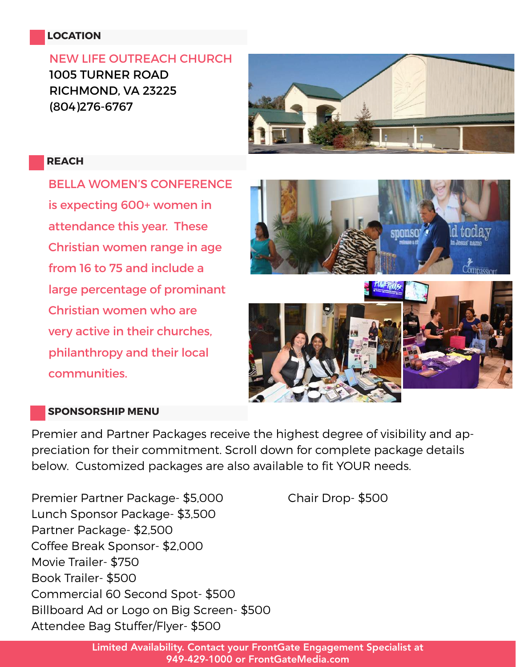## **LOCATION**

NEW LIFE OUTREACH CHURCH 1005 TURNER ROAD RICHMOND, VA 23225 (804)276-6767



#### **REACH**

BELLA WOMEN'S CONFERENCE is expecting 600+ women in attendance this year. These Christian women range in age from 16 to 75 and include a large percentage of prominant Christian women who are very active in their churches, philanthropy and their local communities.







#### **SPONSORSHIP MENU**

Premier and Partner Packages receive the highest degree of visibility and appreciation for their commitment. Scroll down for complete package details below. Customized packages are also available to fit YOUR needs.

Premier Partner Package- \$5,000 Chair Drop- \$500 Lunch Sponsor Package- \$3,500 Partner Package- \$2,500 Coffee Break Sponsor- \$2,000 Movie Trailer- \$750 Book Trailer- \$500 Commercial 60 Second Spot- \$500 Billboard Ad or Logo on Big Screen- \$500 Attendee Bag Stuffer/Flyer- \$500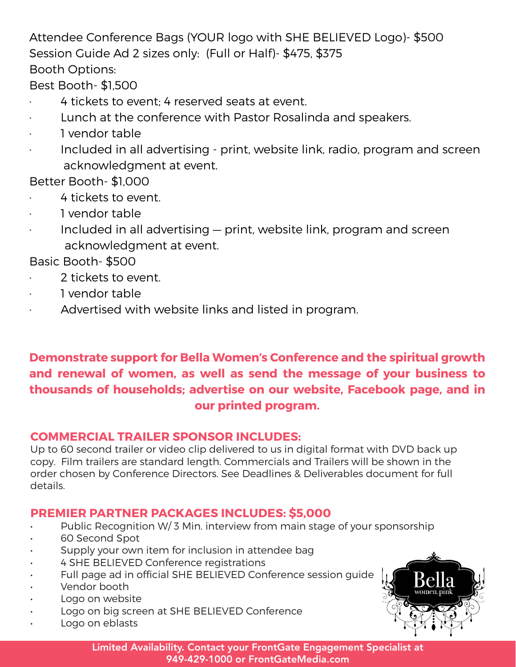Attendee Conference Bags (YOUR logo with SHE BELIEVED Logo)- \$500 Session Guide Ad 2 sizes only: (Full or Half)- \$475, \$375 Booth Options:

Best Booth- \$1,500

- 4 tickets to event: 4 reserved seats at event.
- Lunch at the conference with Pastor Rosalinda and speakers.
- · 1 vendor table
- Included in all advertising print, website link, radio, program and screen acknowledgment at event.
- Better Booth- \$1,000
- · 4 tickets to event.
- · 1 vendor table
- · Included in all advertising print, website link, program and screen acknowledgment at event.

Basic Booth- \$500

- · 2 tickets to event.
- · 1 vendor table
- Advertised with website links and listed in program.

## **Demonstrate support for Bella Women's Conference and the spiritual growth and renewal of women, as well as send the message of your business to thousands of households; advertise on our website, Facebook page, and in our printed program.**

## **COMMERCIAL TRAILER SPONSOR INCLUDES:**

Up to 60 second trailer or video clip delivered to us in digital format with DVD back up copy. Film trailers are standard length. Commercials and Trailers will be shown in the order chosen by Conference Directors. See Deadlines & Deliverables document for full details.

## **PREMIER PARTNER PACKAGES INCLUDES: \$5,000**

- Public Recognition W/3 Min. interview from main stage of your sponsorship
- 60 Second Spot
- Supply your own item for inclusion in attendee bag
- 4 SHE BELIEVED Conference registrations
- Full page ad in official SHE BELIEVED Conference session guide
- Vendor booth
- Logo on website
- Logo on big screen at SHE BELIEVED Conference
- Logo on eblasts

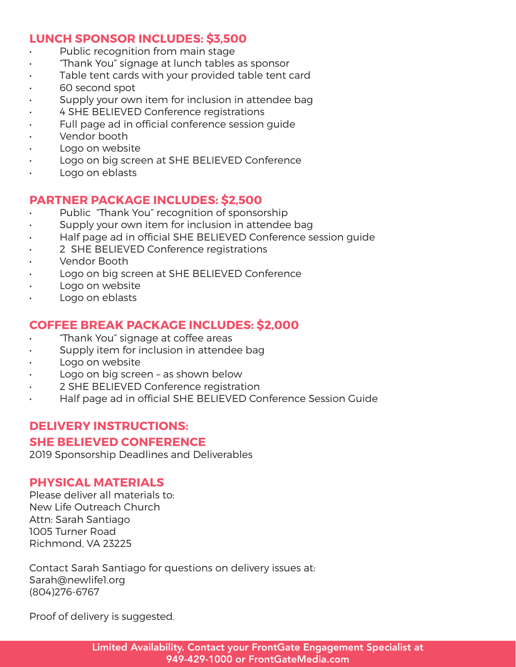## **LUNCH SPONSOR INCLUDES: \$3,500**

- Public recognition from main stage
- "Thank You" signage at lunch tables as sponsor
- Table tent cards with your provided table tent card
- 60 second spot
- Supply your own item for inclusion in attendee bag
- 4 SHE BELIEVED Conference registrations
- Full page ad in official conference session guide
- Vendor booth
- Logo on website
- Logo on big screen at SHE BELIEVED Conference
- Logo on eblasts

## **PARTNER PACKAGE INCLUDES: \$2,500**

- Public "Thank You" recognition of sponsorship
- Supply your own item for inclusion in attendee bag
- Half page ad in official SHE BELIEVED Conference session guide
- 2 SHE BELIEVED Conference registrations
- Vendor Booth
- Logo on big screen at SHE BELIEVED Conference
- Logo on website
- Logo on eblasts

## **COFFEE BREAK PACKAGE INCLUDES: \$2,000**

- "Thank You" signage at coffee areas
- Supply item for inclusion in attendee bag
- Logo on website
- Logo on big screen as shown below
- 2 SHE BELIEVED Conference registration
- Half page ad in official SHE BELIEVED Conference Session Guide

## **DELIVERY INSTRUCTIONS:**

## **SHE BELIEVED CONFERENCE**

2019 Sponsorship Deadlines and Deliverables

## **PHYSICAL MATERIALS**

Please deliver all materials to: New Life Outreach Church Attn: Sarah Santiago 1005 Turner Road Richmond, VA 23225

Contact Sarah Santiago for questions on delivery issues at: Sarah@newlife1.org (804)276-6767

Proof of delivery is suggested.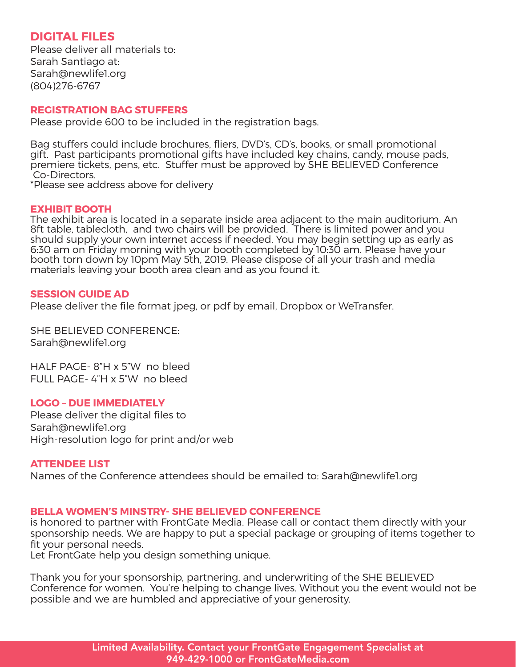#### **DIGITAL FILES**

Please deliver all materials to: Sarah Santiago at: Sarah@newlife1.org (804)276-6767

#### **REGISTRATION BAG STUFFERS**

Please provide 600 to be included in the registration bags.

Bag stuffers could include brochures, fliers, DVD's, CD's, books, or small promotional gift. Past participants promotional gifts have included key chains, candy, mouse pads, premiere tickets, pens, etc. Stuffer must be approved by SHE BELIEVED Conference Co-Directors.

\*Please see address above for delivery

#### **EXHIBIT BOOTH**

The exhibit area is located in a separate inside area adjacent to the main auditorium. An 8ft table, tablecloth, and two chairs will be provided. There is limited power and you should supply your own internet access if needed. You may begin setting up as early as 6:30 am on Friday morning with your booth completed by 10:30 am. Please have your booth torn down by 10pm May 5th, 2019. Please dispose of all your trash and media materials leaving your booth area clean and as you found it.

#### **SESSION GUIDE AD**

Please deliver the file format jpeg, or pdf by email, Dropbox or WeTransfer.

SHE BELIEVED CONFERENCE: Sarah@newlife1.org

HALF PAGE- 8"H x 5"W no bleed FULL PAGE- 4"H x 5"W no bleed

#### **LOGO – DUE IMMEDIATELY**

Please deliver the digital files to Sarah@newlife1.org High-resolution logo for print and/or web

#### **ATTENDEE LIST**

Names of the Conference attendees should be emailed to: Sarah@newlife1.org

#### **BELLA WOMEN'S MINSTRY- SHE BELIEVED CONFERENCE**

is honored to partner with FrontGate Media. Please call or contact them directly with your sponsorship needs. We are happy to put a special package or grouping of items together to fit your personal needs.

Let FrontGate help you design something unique.

Thank you for your sponsorship, partnering, and underwriting of the SHE BELIEVED Conference for women. You're helping to change lives. Without you the event would not be possible and we are humbled and appreciative of your generosity.